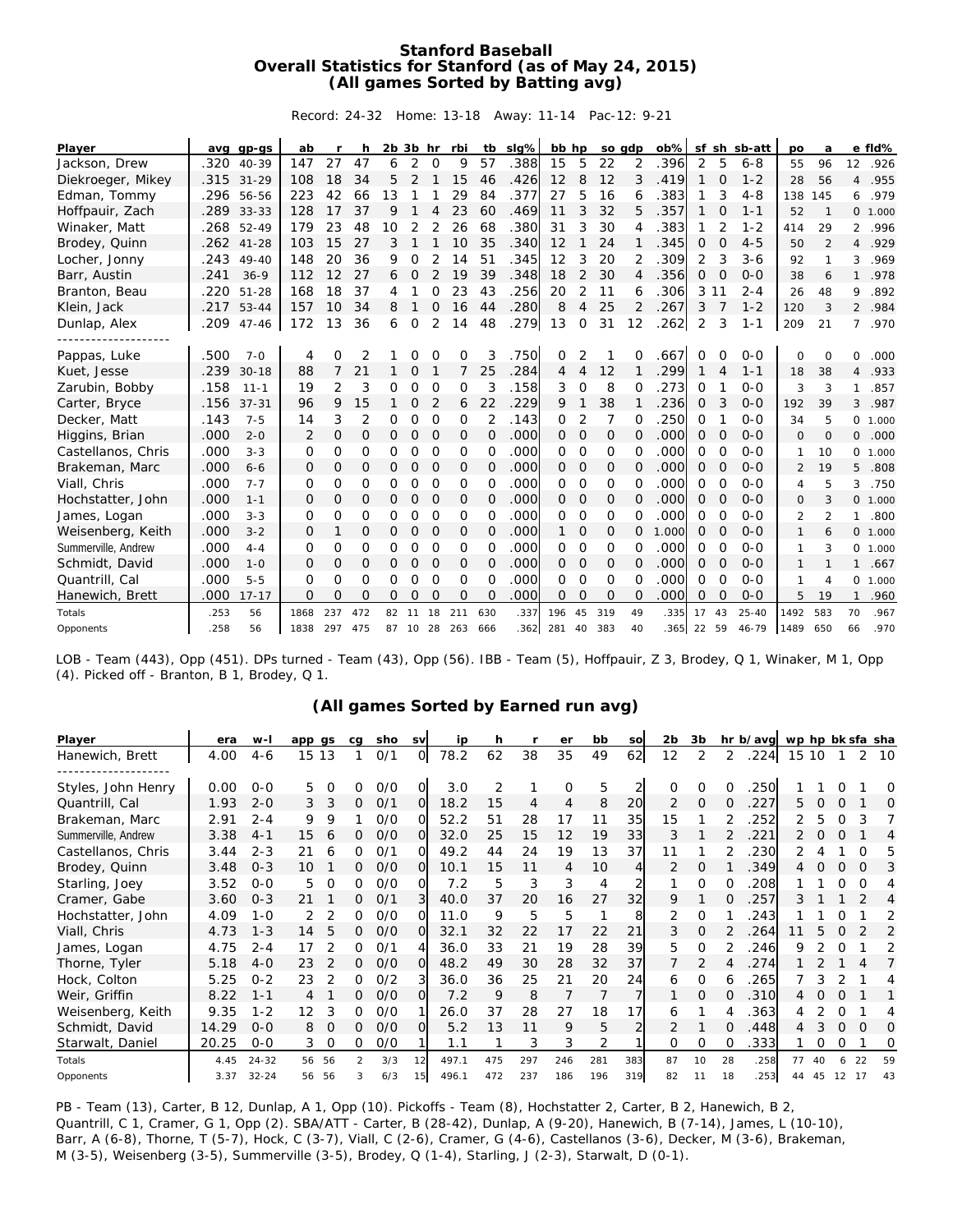## **Stanford Baseball Overall Statistics for Stanford (as of May 24, 2015) (All games Sorted by Batting avg)**

Record: 24-32 Home: 13-18 Away: 11-14 Pac-12: 9-21

| Player              |      | avg gp-gs | ab       | r              | h              | $2b$ $3b$ hr |             |                | rbi      | tb             | slg% | bb hp    |          | so gdp         |          | $ob\%$ |          |                | sf sh sb-att | po             | a              |                | e fld%   |
|---------------------|------|-----------|----------|----------------|----------------|--------------|-------------|----------------|----------|----------------|------|----------|----------|----------------|----------|--------|----------|----------------|--------------|----------------|----------------|----------------|----------|
| Jackson, Drew       | .320 | 40-39     | 147      | 27             | 47             | 6            | 2           | 0              | 9        | 57             | .388 | 15       | 5        | 22             | 2        | .396   | 2        | 5              | $6 - 8$      | 55             | 96             | 12             | .926     |
| Diekroeger, Mikey   | .315 | $31 - 29$ | 108      | 18             | 34             | 5            | 2           |                | 15       | 46             | .426 | 12       | 8        | 12             | 3        | .419   |          | 0              | $1 - 2$      | 28             | 56             | 4              | .955     |
| Edman, Tommy        | .296 | 56-56     | 223      | 42             | 66             | 13           |             |                | 29       | 84             | .377 | 27       | 5        | 16             | 6        | .383   |          | 3              | $4 - 8$      | 138            | 145            | 6              | .979     |
| Hoffpauir, Zach     | .289 | $33 - 33$ | 128      | 17             | 37             | 9            |             |                | 23       | 60             | .469 | 11       | 3        | 32             | 5        | .357   |          | $\Omega$       | $1 - 1$      | 52             | $\mathbf{1}$   |                | 0, 1,000 |
| Winaker, Matt       | .268 | $52 - 49$ | 179      | 23             | 48             | 10           |             | 2              | 26       | 68             | .380 | 31       | 3        | 30             | 4        | .383   |          | $\overline{2}$ | $1 - 2$      | 414            | 29             | $\overline{2}$ | .996     |
| Brodey, Quinn       | .262 | $41 - 28$ | 103      | 15             | 27             | 3            |             |                | 10       | 35             | .340 | 12       |          | 24             |          | .345   | 0        | 0              | $4 - 5$      | 50             | $\overline{2}$ | $\overline{4}$ | .929     |
| Locher, Jonny       | .243 | $49 - 40$ | 148      | 20             | 36             | 9            | $\Omega$    |                | 14       | 51             | .345 | 12       | 3        | 20             | 2        | 309    | 2        | 3              | $3 - 6$      | 92             | 1              | 3              | .969     |
| Barr, Austin        | .241 | $36-9$    | 112      | 12             | 27             | 6            | $\Omega$    | $\overline{2}$ | 19       | 39             | .348 | 18       | 2        | 30             | 4        | .356   | 0        | $\Omega$       | $O - O$      | 38             | 6              | 1              | .978     |
| Branton, Beau       | .220 | $51 - 28$ | 168      | 18             | 37             | 4            |             | O              | 23       | 43             | .256 | 20       | 2        | 11             |          | .306   | 3        | 11             | $2 - 4$      | 26             | 48             | 9              | .892     |
| Klein, Jack         | .217 | $53 - 44$ | 157      | 10             | 34             | 8            |             | $\Omega$       | 16       | 44             | .280 | 8        | 4        | 25             | 2        | .267   | 3        | 7              | $1 - 2$      | 120            | 3              | $\overline{2}$ | .984     |
| Dunlap, Alex        | .209 | $47 - 46$ | 172      | 3              | 36             | 6            | $\Omega$    | $\overline{2}$ | 14       | 48             | .279 | 13       | $\Omega$ | 31             | 12       | .262   | 2        | 3              | $1 - 1$      | 209            | 21             | $\overline{7}$ | .970     |
|                     |      |           |          |                |                |              |             |                |          |                |      |          |          |                |          |        |          |                |              |                |                |                |          |
| Pappas, Luke        | .500 | $7 - 0$   | 4        | O              | 2              |              | Ω           | O              | 0        | 3              | .750 | 0        |          |                | O        | .667   | ∩        | O              | $O - O$      | $\circ$        | $\Omega$       | 0              | .000     |
| Kuet, Jesse         | .239 | $30 - 18$ | 88       | $\overline{7}$ | 21             |              | O           |                | 7        | 25             | .284 | 4        | 4        | 12             |          | 299    |          | 4              | $1 - 1$      | 18             | 38             | 4              | .933     |
| Zarubin, Bobby      | .158 | $11 - 1$  | 19       | $\overline{2}$ | 3              | O            | 0           | $\circ$        | 0        | 3              | .158 | 3        | $\circ$  | 8              | $\Omega$ | 273    | 0        |                | $O - O$      | 3              | 3              | 1              | .857     |
| Carter, Bryce       | .156 | $37 - 31$ | 96       | 9              | 15             |              | 0           | 2              | 6        | 22             | .229 | 9        |          | 38             |          | .236   | O        | 3              | $O - O$      | 192            | 39             | 3              | .987     |
| Decker, Matt        | .143 | $7 - 5$   | 14       | 3              | $\overline{2}$ | 0            | Ω           | $\mathbf 0$    | 0        | $\overline{2}$ | .143 | 0        | 2        | $\overline{7}$ | $\Omega$ | .250   | Ω        |                | $O - O$      | 34             | 5              | $\circ$        | 1.000    |
| Higgins, Brian      | .000 | $2 - 0$   | 2        | $\Omega$       | $\overline{O}$ | $\circ$      | $\mathbf 0$ | $\mathbf 0$    | 0        | $\Omega$       | .000 | $\Omega$ | 0        | $\Omega$       | $\Omega$ | .000   | $\Omega$ | O              | $O-O$        | $\Omega$       | $\Omega$       | 0              | .000     |
| Castellanos, Chris  | .000 | $3 - 3$   | 0        | O              | $\Omega$       | 0            | 0           | $\circ$        | 0        | $\Omega$       | .000 | 0        | $\Omega$ | $\Omega$       | O        | .000   | 0        | 0              | $O - O$      | 1              | 10             |                | 0, 1.000 |
| Brakeman, Marc      | .000 | $6 - 6$   | 0        | $\mathcal{O}$  | $\circ$        | 0            | $\mathbf 0$ | 0              | 0        | 0              | .000 | 0        | 0        | $\circ$        | 0        | .000   | 0        | 0              | $O-O$        | $\overline{2}$ | 19             | 5              | .808     |
| Viall, Chris        | .000 | $7 - 7$   | $\Omega$ | 0              | $\Omega$       | $\Omega$     | $\Omega$    | $\circ$        | 0        | O              | .000 | 0        | $\Omega$ | $\Omega$       | $\Omega$ | .000   | 0        | $\Omega$       | $O - O$      | 4              | 5              | 3              | .750     |
| Hochstatter, John   | .000 | $1 - 1$   | 0        | $\mathcal{O}$  | $\Omega$       | 0            | $\mathbf 0$ | 0              | 0        | $\Omega$       | .000 | $\Omega$ | 0        | 0              | $\Omega$ | .000   | 0        | $\Omega$       | $O - O$      | $\mathbf{O}$   | 3              |                | 0, 1,000 |
| James, Logan        | .000 | $3 - 3$   | $\Omega$ | 0              | $\Omega$       | O            | $\Omega$    | $\Omega$       | $\Omega$ | O              | .000 | $\Omega$ | $\Omega$ | $\Omega$       | O        | .000   | $\Omega$ | $\Omega$       | $O - O$      | $\overline{2}$ | 2              | 1              | .800     |
| Weisenberg, Keith   | .000 | $3 - 2$   | 0        | 1              | 0              | 0            | 0           | 0              | 0        | 0              | .000 |          | 0        | 0              | 0        | 1.000  | 0        | $\Omega$       | $O-O$        | 1              | 6              |                | 0, 1,000 |
| Summerville, Andrew | .000 | $4 - 4$   | $\Omega$ | 0              | $\overline{0}$ | 0            | 0           | $\circ$        | 0        | 0              | .000 | 0        | $\circ$  | O              | $\Omega$ | .000   | 0        | 0              | $O - O$      | 1              | 3              | $\circ$        | 1.000    |
| Schmidt, David      | .000 | $1 - 0$   | $\Omega$ | $\Omega$       | $\Omega$       | 0            | $\Omega$    | 0              | 0        | $\Omega$       | .000 | 0        | $\Omega$ | 0              | $\Omega$ | .000   | 0        | $\Omega$       | $O-O$        | 1              |                | 1              | .667     |
| Quantrill, Cal      | .000 | $5 - 5$   | $\Omega$ | 0              | $\Omega$       | O            | $\Omega$    | $\Omega$       | $\Omega$ | $\Omega$       | .000 | $\Omega$ | $\Omega$ | $\Omega$       | $\Omega$ | .000   | $\Omega$ | O              | $O - O$      | 1              | $\overline{4}$ | $\Omega$       | 1.000    |
| Hanewich, Brett     | .000 | $17 - 17$ | $\Omega$ | $\Omega$       | $\Omega$       | $\Omega$     | O           | $\Omega$       | $\Omega$ | $\Omega$       | .000 | $\Omega$ | $\Omega$ | $\Omega$       | $\Omega$ | .000   | 0        | $\Omega$       | $O - O$      | 5              | 19             | $\mathbf{1}$   | .960     |
| Totals              | .253 | 56        | 1868     | 237            | 472            | 82           | 11          | 18             | 211      | 630            | .337 | 196      | 45       | 319            | 49       | .335   | 17       | 43             | $25 - 40$    | 1492           | 583            | 70             | .967     |
| Opponents           | .258 | 56        | 1838     | 297            | 475            | 87           | 10          | 28             | 263      | 666            | .362 | 281      | 40       | 383            | 40       | 365    | 22       | 59             | $46 - 79$    | 1489           | 650            | 66             | .970     |

LOB - Team (443), Opp (451). DPs turned - Team (43), Opp (56). IBB - Team (5), Hoffpauir, Z 3, Brodey, Q 1, Winaker, M 1, Opp (4). Picked off - Branton, B 1, Brodey, Q 1.

|  |  | (All games Sorted by Earned run avg) |  |
|--|--|--------------------------------------|--|
|  |  |                                      |  |
|  |  |                                      |  |

|                     |       |           |        |          |    |     |           | (All games Sorted by Earned run avg) |     |                |     |     |     |                |                |          |          |                  |    |          |          |    |
|---------------------|-------|-----------|--------|----------|----|-----|-----------|--------------------------------------|-----|----------------|-----|-----|-----|----------------|----------------|----------|----------|------------------|----|----------|----------|----|
| Player              | era   | $W -$     | app gs |          | cg | sho | <b>SV</b> | ip                                   | h   |                | er  | bb  | SO  | 2 <sub>b</sub> | 3b             |          | hr b/avg | wp hp bk sfa sha |    |          |          |    |
| Hanewich, Brett     | 4.00  | $4-6$     | 15 13  |          |    | 0/1 | 0         | 78.2                                 | 62  | 38             | 35  | 49  | 62  | 12             | 2              | 2        | .224     | 15 10            |    |          | 2        | 10 |
| Styles, John Henry  | 0.00  | $0 - 0$   | 5      | $\Omega$ | 0  | O/O | 0         | 3.0                                  | 2   |                | 0   | 5   |     | $\Omega$       | 0              | $\Omega$ | .250     |                  |    |          |          | 0  |
| Quantrill, Cal      | 1.93  | $2 - 0$   | 3      | 3        | 0  | 0/1 | $\Omega$  | 18.2                                 | 15  | $\overline{4}$ | 4   | 8   | 20  | 2              | 0              | $\Omega$ | .227     | 5                |    | $\Omega$ |          | 0  |
| Brakeman, Marc      | 2.91  | $2 - 4$   | 9      | 9        |    | O/O | O         | 52.2                                 | 51  | 28             | 17  | 11  | 35  | 15             |                |          | 252      |                  | 5. | O        | 3        | 7  |
| Summerville, Andrew | 3.38  | $4 - 1$   | 15     | 6        |    | O/O | $\Omega$  | 32.0                                 | 25  | 15             | 12  | 19  | 33  | 3              |                |          | 221      |                  |    | O        |          | 4  |
| Castellanos, Chris  | 3.44  | $2 - 3$   | 21     | 6        | 0  | 0/1 | O         | 49.2                                 | 44  | 24             | 19  | 13  | 37  | 11             |                |          | 230      |                  |    |          | $\Omega$ | 5  |
| Brodey, Quinn       | 3.48  | $0 - 3$   | 10     |          | 0  | O/O | $\Omega$  | 10.1                                 | 15  | 11             | 4   | 10  | 4   | 2              | 0              |          | 349      | 4                | O  | 0        | O        | 3  |
| Starling, Joey      | 3.52  | $O - O$   | 5      | 0        | 0  | O/O | O         | 7.2                                  | 5   | 3              | 3   | 4   |     |                | $\Omega$       | Ω        | 208      |                  |    | Ω        | Ω        | 4  |
| Cramer, Gabe        | 3.60  | $0 - 3$   | 21     |          | 0  | 0/1 | 3         | 40.0                                 | 37  | 20             | 16  | 27  | 32  | 9              |                | $\Omega$ | .257     | 3                |    |          | 2        | 4  |
| Hochstatter, John   | 4.09  | $1 - 0$   | 2      | 2        |    | O/O | Ω         | 11.0                                 | 9   | 5              | 5   | -1  | 8   | 2              | 0              |          | 243      |                  |    |          |          | 2  |
| Viall, Chris        | 4.73  | $1 - 3$   | 14     | 5        |    | O/O | $\Omega$  | 32.1                                 | 32  | 22             | 17  | 22  | 21  | 3              | $\overline{O}$ |          | 264      |                  | 5  |          |          | 2  |
| James, Logan        | 4.75  | $2 - 4$   | 17     | 2        | O  | 0/1 |           | 36.0                                 | 33  | 21             | 19  | 28  | 39  | 5              | O              |          | .246     | 9                |    | 0        |          | 2  |
| Thorne, Tyler       | 5.18  | $4 - 0$   | 23     | 2        | 0  | O/O | $\Omega$  | 48.2                                 | 49  | 30             | 28  | 32  | 37  |                | 2              |          | .274     |                  |    |          |          | 7  |
| Hock, Colton        | 5.25  | $0 - 2$   | 23     | 2        | 0  | O/2 |           | 36.0                                 | 36  | 25             | 21  | 20  | 24  | 6              | 0              | 6        | 265      |                  |    | 2        |          | 4  |
| Weir, Griffin       | 8.22  | $1 - 1$   | 4      |          | Ω  | O/O | O.        | 7.2                                  | 9   | 8              |     | 7   |     |                | O              | $\Omega$ | .310     |                  |    | 0        |          |    |
| Weisenberg, Keith   | 9.35  | $1 - 2$   | 12     | 3        | 0  | 0/0 |           | 26.0                                 | 37  | 28             | 27  | 18  | 17  | 6              |                |          | .363     |                  |    | $\Omega$ |          | 4  |
| Schmidt, David      | 14.29 | $0 - 0$   | 8      | $\circ$  | Ω  | O/O | ΩI        | 5.2                                  | 13  | 11             | 9   | 5   |     | 2              |                | $\Omega$ | .448     | 4                | 3  | 0        | $\Omega$ | O  |
| Starwalt, Daniel    | 20.25 | $0-0$     | 3      | 0        | 0  | O/O |           | 1.1                                  |     | 3              | 3   | 2   |     | 0              | 0              | $\Omega$ | .333     |                  | Ω  | 0        |          | 0  |
| Totals              | 4.45  | $24 - 32$ |        | 56 56    | 2  | 3/3 | 12        | 497.1                                | 475 | 297            | 246 | 281 | 383 | 87             | 10             | 28       | .258     | 77               |    | 6        | 22       | 59 |
| Opponents           | 3.37  | $32 - 24$ | 56     | 56       |    | 6/3 | 15        | 496.1                                | 472 | 237            | 186 | 196 | 319 | 82             | 11             | 18       | .253     | 44               | 45 | 12       |          | 43 |

PB - Team (13), Carter, B 12, Dunlap, A 1, Opp (10). Pickoffs - Team (8), Hochstatter 2, Carter, B 2, Hanewich, B 2, Quantrill, C 1, Cramer, G 1, Opp (2). SBA/ATT - Carter, B (28-42), Dunlap, A (9-20), Hanewich, B (7-14), James, L (10-10), Barr, A (6-8), Thorne, T (5-7), Hock, C (3-7), Viall, C (2-6), Cramer, G (4-6), Castellanos (3-6), Decker, M (3-6), Brakeman, M (3-5), Weisenberg (3-5), Summerville (3-5), Brodey, Q (1-4), Starling, J (2-3), Starwalt, D (0-1).